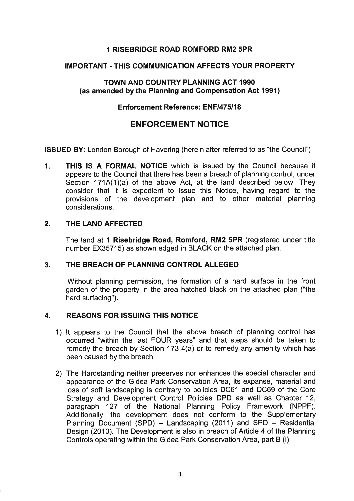# 1 RISEBRIDGE ROAD ROMFORD RM2 5PR

### IMPORTANT- THIS COMMUNICATION AFFECTS YOUR PROPERTY

### TOWN AND COUNTRY PLANNING ACT 1990 (as amended by the Planning and Compensation Act 1991)

#### Enforcement Reference: ENF/475/18

# ENFORCEMENT NOTICE

ISSUED BY: London Borough of Havering (herein after referred to as "the Council")

1. THIS IS A FORMAL NOTICE which is issued by the Council because it appears to the Council that there has been a breach of planning control, under Section 171A(1)(a) of the above Act, at the land described below. They consider that it is expedient to issue this Notice, having regard to the provisions of the development plan and to other material planning considerations.

### 2. THE LAND AFFECTED

The land at 1 Risebridge Road, Romford, RM2 5PR (registered under title number EX35715) as shown edged in BLACK on the attached plan.

#### 3. THE BREACH OF PLANNING CONTROL ALLEGED

Without planning permission, the formation of a hard surface in the front garden of the property in the area hatched black on the attached plan ("the hard surfacing").

#### 4. REASONS FOR ISSUING THIS NOTICE

- 1) lt appears to the Council that the above breach of planning control has occurred "within the last FOUR years" and that steps should be taken to remedy the breach by Section 173 4(a) or to remedy any amenity which has been caused by the breach.
- 2) The Hardstanding neither preserves nor enhances the special character and appearance of the Gidea Park Conservation Area, its expanse, material and loss of soft landscaping is contrary to policies DC61 and DC69 of the Core Strategy and Development Control Policies DPD as well as Chapter 12, paragraph 127 of the National Planning Policy Framework (NPPF). Additionally, the development does not conform to the Supplementary Planning Document (SPD) - Landscaping (2011) and SPD - Residential Design (2010). The Development is also in breach of Article 4 of the Planning Controls operating within the Gidea Park Conservation Area, part B (i)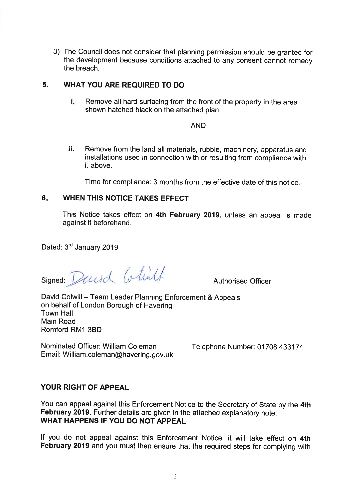3) The Council does not consider that planning permission should be granted for the development because conditions attached to any consent cannot remedy the breach.

#### **5. WHAT YOU ARE REQUIRED TO DO**

i. Remove all hard surfacing from the front of the property in the area shown hatched black on the attached plan

#### AND

ii. Remove from the land all materials, rubble, machinery, apparatus and installations used in connection with or resulting from compliance with i. above.

Time for compliance: 3 months from the effective date of this notice.

### **6. WHEN THIS NOTICE TAKES EFFECT**

This Notice takes effect on **4th February 2019,** unless an appeal is made against it beforehand.

Dated: 3<sup>rd</sup> January 2019

signed: David Colint

Authorised Officer

David Colwill- Team Leader Planning Enforcement & Appeals on behalf of London Borough of Havering Town Hall Main Road Romford RM1 3BD

Nominated Officer: William Coleman Telephone Number: 01708 433174 Email: William.coleman@havering.gov.uk

# **YOUR RIGHT OF APPEAL**

You can appeal against this Enforcement Notice to the Secretary of State by the **4th February 2019.** Further details are given in the attached explanatory note. **WHAT HAPPENS IF YOU DO NOT APPEAL** 

If you do not appeal against this Enforcement Notice, it will take effect on **4th February 2019** and you must then ensure that the required steps for complying with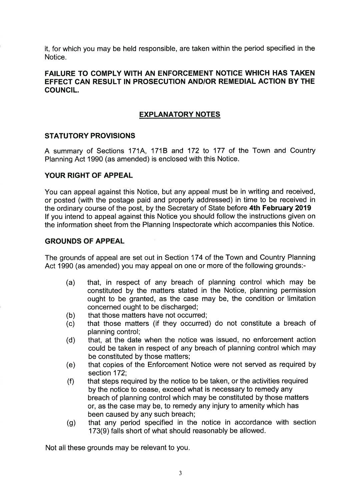it, for which you may be held responsible, are taken within the period specified in the Notice.

#### **FAILURE TO COMPLY WITH AN ENFORCEMENT NOTICE WHICH HAS TAKEN EFFECT CAN RESULT IN PROSECUTION AND/OR REMEDIAL ACTION BY THE COUNCIL.**

#### **EXPLANATORY NOTES**

#### **STATUTORY PROVISIONS**

A summary of Sections 171A, 1718 and 172 to 177 of the Town and Country Planning Act 1990 (as amended) is enclosed with this Notice.

#### **YOUR RIGHT OF APPEAL**

You can appeal against this Notice, but any appeal must be in writing and received, or posted (with the postage paid and properly addressed) in time to be received in the ordinary course of the post, by the Secretary of State before **4th February 2019**  If you intend to appeal against this Notice you should follow the instructions given on the information sheet from the Planning Inspectorate which accompanies this Notice.

#### **GROUNDS OF APPEAL**

The grounds of appeal are set out in Section 174 of the Town and Country Planning Act 1990 (as amended) you may appeal on one or more of the following grounds:-

- (a) that, in respect of any breach of planning control which may be constituted by the matters stated in the Notice, planning permission ought to be granted, as the case may be, the condition or limitation concerned ought to be discharged;
- (b) that those matters have not occurred;
- (c) that those matters (if they occurred) do not constitute a breach of planning control;
- (d) that, at the date when the notice was issued, no enforcement action could be taken in respect of any breach of planning control which may be constituted by those matters;
- (e) that copies of the Enforcement Notice were not served as required by section 172;
- (f) that steps required by the notice to be taken, or the activities required by the notice to cease, exceed what is necessary to remedy any breach of planning control which may be constituted by those matters or, as the case may be, to remedy any injury to amenity which has been caused by any such breach;
- (g) that any period specified in the notice in accordance with section 173(9) falls short of what should reasonably be allowed.

Not all these grounds may be relevant to you.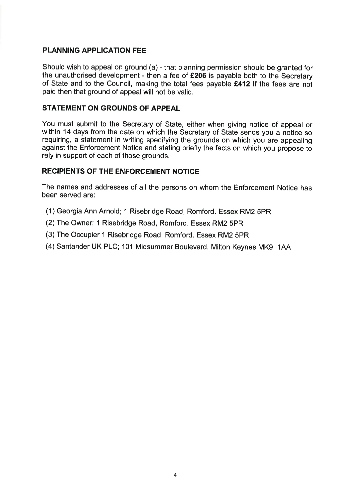### **PLANNING APPLICATION FEE**

Should wish to appeal on ground (a)- that planning permission should be granted for the unauthorised development - then a fee of **£206** is payable both to the Secretary of State and to the Council, making the total fees payable **£412** If the fees are not paid then that ground of appeal will not be valid.

#### **STATEMENT ON GROUNDS OF APPEAL**

You must submit to the Secretary of State, either when giving notice of appeal or within 14 days from the date on which the Secretary of State sends you a notice so requiring, a statement in writing specifying the grounds on which you are appealing against the Enforcement Notice and stating briefly the facts on which you propose to rely in support of each of those grounds.

### **RECIPIENTS OF THE ENFORCEMENT NOTICE**

The names and addresses of all the persons on whom the Enforcement Notice has been served are:

- (1) Georgia Ann Arnold; 1 Risebridge Road, Romford. Essex RM2 SPR
- (2) The Owner; 1 Risebridge Road, Romford. Essex RM2 5PR
- (3) The Occupier 1 Risebridge Road, Romford. Essex RM2 5PR
- (4) Santander UK PLC; 101 Midsummer Boulevard, Milton Keynes MK9 1AA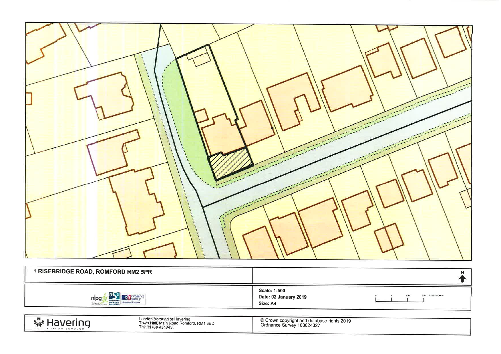

| 1 RISEBRIDGE ROAD, ROMFORD RM2 5PR                                                |                                                   |                                        |
|-----------------------------------------------------------------------------------|---------------------------------------------------|----------------------------------------|
| $M \in \mathbb{Z}$<br><b>S</b> Ordnance<br>nipg<br><b>STREET</b> Licensed Partner | Scale: 1:500<br>Date: 02 January 2019<br>Size: A4 | <b>A MILLIAN MARKET LAND</b><br>$\sim$ |

**Ky Havering** 

London Borough of Havering<br>Town Hall, Main Road,Romford, RM1 3BD<br>Tel: 01708 434343

© Crown copyright and database rights 2019<br>Ordnance Survey 100024327